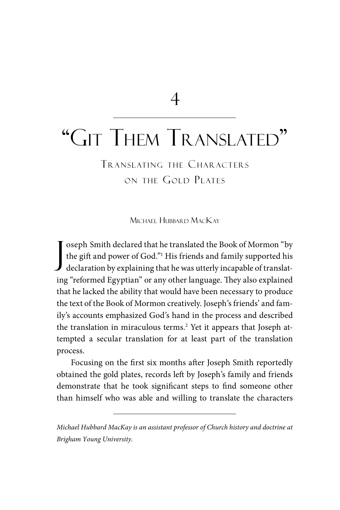4

# "Git Them Translated"

TRANSLATING THE CHARACTERS ON THE GOLD PLATES

Michael Hubbard MacKay

J oseph Smith declared that he translated the Book of Mormon "by the gift and power of God."1 His friends and family supported his declaration by explaining that he was utterly incapable of translating "reformed Egyptian" or any other language. They also explained that he lacked the ability that would have been necessary to produce the text of the Book of Mormon creatively. Joseph's friends' and family's accounts emphasized God's hand in the process and described the translation in miraculous terms.<sup>2</sup> Yet it appears that Joseph attempted a secular translation for at least part of the translation process.

Focusing on the first six months after Joseph Smith reportedly obtained the gold plates, records left by Joseph's family and friends demonstrate that he took significant steps to find someone other than himself who was able and willing to translate the characters

*Michael Hubbard MacKay is an assistant professor of Church history and doctrine at Brigham Young University.*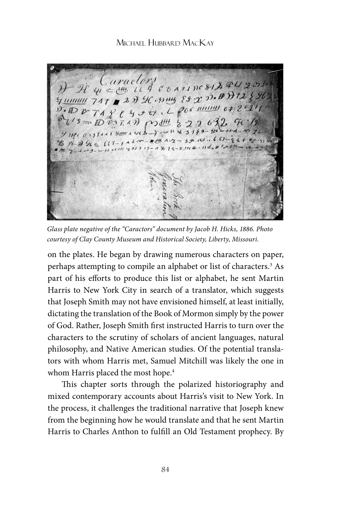Caractory  $\mathcal{H}$   $\psi \in \mathcal{H}$   $(1\ 4\ 6\ 6\ 7\ 1)$   $(8/3\ 4\ 1\ 2\ 2\ 2\ 1)$  $\frac{1}{4}$   $\frac{1}{4}$   $\frac{1}{4}$   $\frac{1}{4}$   $\frac{1}{8}$   $\frac{1}{2}$   $\frac{1}{2}$   $\frac{1}{2}$   $\frac{1}{2}$   $\frac{1}{2}$   $\frac{1}{2}$   $\frac{1}{2}$   $\frac{1}{2}$   $\frac{1}{2}$   $\frac{1}{2}$   $\frac{1}{2}$   $\frac{1}{2}$   $\frac{1}{2}$   $\frac{1}{2}$   $\frac{1}{2}$   $\frac{1}{2}$   $\frac{1}{2}$   $742$  e 4 + 0.1 2006 minus 0+ 2021  $5mD\ddot{v}$   $7.47\dot{v}$  m  $44\frac{m}{6}$   $22663267$ y necorssau your auce - - - " x 3149- get the  $116111115255532 - 147252114 - 153$ 

*Glass plate negative of the "Caractors" document by Jacob H. Hicks, 1886. Photo courtesy of Clay County Museum and Historical Society, Liberty, Missouri.*

on the plates. He began by drawing numerous characters on paper, perhaps attempting to compile an alphabet or list of characters.<sup>3</sup> As part of his efforts to produce this list or alphabet, he sent Martin Harris to New York City in search of a translator, which suggests that Joseph Smith may not have envisioned himself, at least initially, dictating the translation of the Book of Mormon simply by the power of God. Rather, Joseph Smith first instructed Harris to turn over the characters to the scrutiny of scholars of ancient languages, natural philosophy, and Native American studies. Of the potential translators with whom Harris met, Samuel Mitchill was likely the one in whom Harris placed the most hope.<sup>4</sup>

This chapter sorts through the polarized historiography and mixed contemporary accounts about Harris's visit to New York. In the process, it challenges the traditional narrative that Joseph knew from the beginning how he would translate and that he sent Martin Harris to Charles Anthon to fulfill an Old Testament prophecy. By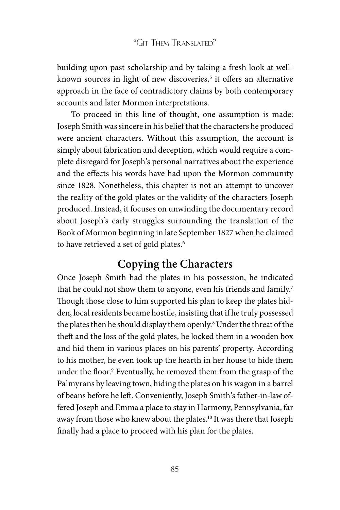building upon past scholarship and by taking a fresh look at wellknown sources in light of new discoveries,<sup>5</sup> it offers an alternative approach in the face of contradictory claims by both contemporary accounts and later Mormon interpretations.

To proceed in this line of thought, one assumption is made: Joseph Smith was sincere in his belief that the characters he produced were ancient characters. Without this assumption, the account is simply about fabrication and deception, which would require a complete disregard for Joseph's personal narratives about the experience and the effects his words have had upon the Mormon community since 1828. Nonetheless, this chapter is not an attempt to uncover the reality of the gold plates or the validity of the characters Joseph produced. Instead, it focuses on unwinding the documentary record about Joseph's early struggles surrounding the translation of the Book of Mormon beginning in late September 1827 when he claimed to have retrieved a set of gold plates.<sup>6</sup>

# **Copying the Characters**

Once Joseph Smith had the plates in his possession, he indicated that he could not show them to anyone, even his friends and family.<sup>7</sup> Though those close to him supported his plan to keep the plates hidden, local residents became hostile, insisting that if he truly possessed the plates then he should display them openly.8 Under the threat of the theft and the loss of the gold plates, he locked them in a wooden box and hid them in various places on his parents' property. According to his mother, he even took up the hearth in her house to hide them under the floor.9 Eventually, he removed them from the grasp of the Palmyrans by leaving town, hiding the plates on his wagon in a barrel of beans before he left. Conveniently, Joseph Smith's father-in-law offered Joseph and Emma a place to stay in Harmony, Pennsylvania, far away from those who knew about the plates.10 It was there that Joseph finally had a place to proceed with his plan for the plates.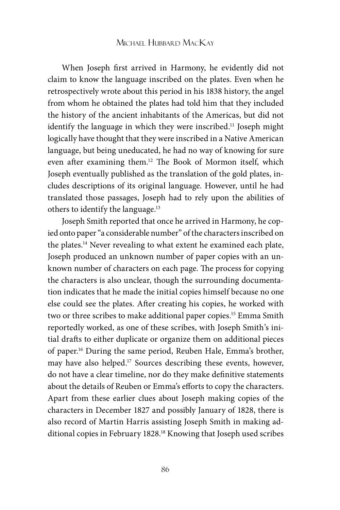When Joseph first arrived in Harmony, he evidently did not claim to know the language inscribed on the plates. Even when he retrospectively wrote about this period in his 1838 history, the angel from whom he obtained the plates had told him that they included the history of the ancient inhabitants of the Americas, but did not identify the language in which they were inscribed.<sup>11</sup> Joseph might logically have thought that they were inscribed in a Native American language, but being uneducated, he had no way of knowing for sure even after examining them.12 The Book of Mormon itself, which Joseph eventually published as the translation of the gold plates, includes descriptions of its original language. However, until he had translated those passages, Joseph had to rely upon the abilities of others to identify the language.13

Joseph Smith reported that once he arrived in Harmony, he copied onto paper "a considerable number" of the characters inscribed on the plates.<sup>14</sup> Never revealing to what extent he examined each plate, Joseph produced an unknown number of paper copies with an unknown number of characters on each page. The process for copying the characters is also unclear, though the surrounding documentation indicates that he made the initial copies himself because no one else could see the plates. After creating his copies, he worked with two or three scribes to make additional paper copies.<sup>15</sup> Emma Smith reportedly worked, as one of these scribes, with Joseph Smith's initial drafts to either duplicate or organize them on additional pieces of paper.16 During the same period, Reuben Hale, Emma's brother, may have also helped.17 Sources describing these events, however, do not have a clear timeline, nor do they make definitive statements about the details of Reuben or Emma's efforts to copy the characters. Apart from these earlier clues about Joseph making copies of the characters in December 1827 and possibly January of 1828, there is also record of Martin Harris assisting Joseph Smith in making additional copies in February 1828.<sup>18</sup> Knowing that Joseph used scribes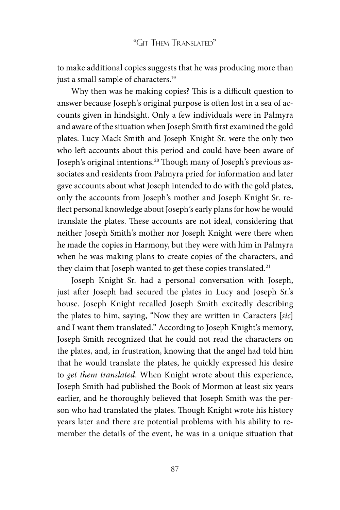to make additional copies suggests that he was producing more than just a small sample of characters.<sup>19</sup>

Why then was he making copies? This is a difficult question to answer because Joseph's original purpose is often lost in a sea of accounts given in hindsight. Only a few individuals were in Palmyra and aware of the situation when Joseph Smith first examined the gold plates. Lucy Mack Smith and Joseph Knight Sr. were the only two who left accounts about this period and could have been aware of Joseph's original intentions.<sup>20</sup> Though many of Joseph's previous associates and residents from Palmyra pried for information and later gave accounts about what Joseph intended to do with the gold plates, only the accounts from Joseph's mother and Joseph Knight Sr. reflect personal knowledge about Joseph's early plans for how he would translate the plates. These accounts are not ideal, considering that neither Joseph Smith's mother nor Joseph Knight were there when he made the copies in Harmony, but they were with him in Palmyra when he was making plans to create copies of the characters, and they claim that Joseph wanted to get these copies translated.<sup>21</sup>

Joseph Knight Sr. had a personal conversation with Joseph, just after Joseph had secured the plates in Lucy and Joseph Sr.'s house. Joseph Knight recalled Joseph Smith excitedly describing the plates to him, saying, "Now they are written in Caracters [*sic*] and I want them translated." According to Joseph Knight's memory, Joseph Smith recognized that he could not read the characters on the plates, and, in frustration, knowing that the angel had told him that he would translate the plates, he quickly expressed his desire to *get them translated*. When Knight wrote about this experience, Joseph Smith had published the Book of Mormon at least six years earlier, and he thoroughly believed that Joseph Smith was the person who had translated the plates. Though Knight wrote his history years later and there are potential problems with his ability to remember the details of the event, he was in a unique situation that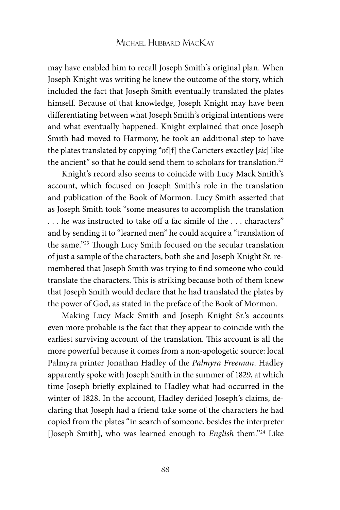may have enabled him to recall Joseph Smith's original plan. When Joseph Knight was writing he knew the outcome of the story, which included the fact that Joseph Smith eventually translated the plates himself. Because of that knowledge, Joseph Knight may have been differentiating between what Joseph Smith's original intentions were and what eventually happened. Knight explained that once Joseph Smith had moved to Harmony, he took an additional step to have the plates translated by copying "of[f] the Caricters exactley [*sic*] like the ancient" so that he could send them to scholars for translation.<sup>22</sup>

Knight's record also seems to coincide with Lucy Mack Smith's account, which focused on Joseph Smith's role in the translation and publication of the Book of Mormon. Lucy Smith asserted that as Joseph Smith took "some measures to accomplish the translation . . . he was instructed to take off a fac simile of the . . . characters" and by sending it to "learned men" he could acquire a "translation of the same."23 Though Lucy Smith focused on the secular translation of just a sample of the characters, both she and Joseph Knight Sr. remembered that Joseph Smith was trying to find someone who could translate the characters. This is striking because both of them knew that Joseph Smith would declare that he had translated the plates by the power of God, as stated in the preface of the Book of Mormon.

Making Lucy Mack Smith and Joseph Knight Sr.'s accounts even more probable is the fact that they appear to coincide with the earliest surviving account of the translation. This account is all the more powerful because it comes from a non-apologetic source: local Palmyra printer Jonathan Hadley of the *Palmyra Freeman*. Hadley apparently spoke with Joseph Smith in the summer of 1829, at which time Joseph briefly explained to Hadley what had occurred in the winter of 1828. In the account, Hadley derided Joseph's claims, declaring that Joseph had a friend take some of the characters he had copied from the plates "in search of someone, besides the interpreter [Joseph Smith], who was learned enough to *English* them."24 Like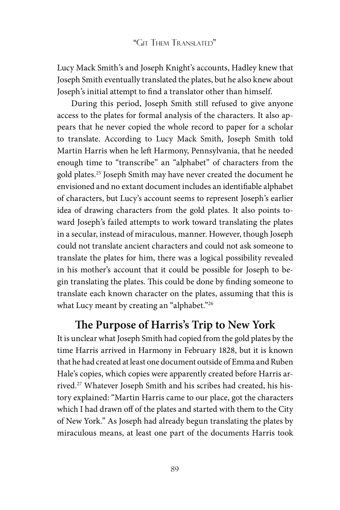Lucy Mack Smith's and Joseph Knight's accounts, Hadley knew that Joseph Smith eventually translated the plates, but he also knew about Joseph's initial attempt to find a translator other than himself.

During this period, Joseph Smith still refused to give anyone access to the plates for formal analysis of the characters. It also appears that he never copied the whole record to paper for a scholar to translate. According to Lucy Mack Smith, Joseph Smith told Martin Harris when he left Harmony, Pennsylvania, that he needed enough time to "transcribe" an "alphabet" of characters from the gold plates.25 Joseph Smith may have never created the document he envisioned and no extant document includes an identifiable alphabet of characters, but Lucy's account seems to represent Joseph's earlier idea of drawing characters from the gold plates. It also points toward Joseph's failed attempts to work toward translating the plates in a secular, instead of miraculous, manner. However, though Joseph could not translate ancient characters and could not ask someone to translate the plates for him, there was a logical possibility revealed in his mother's account that it could be possible for Joseph to begin translating the plates. This could be done by finding someone to translate each known character on the plates, assuming that this is what Lucy meant by creating an "alphabet."<sup>26</sup>

# **The Purpose of Harris's Trip to New York**

It is unclear what Joseph Smith had copied from the gold plates by the time Harris arrived in Harmony in February 1828, but it is known that he had created at least one document outside of Emma and Ruben Hale's copies, which copies were apparently created before Harris arrived.<sup>27</sup> Whatever Joseph Smith and his scribes had created, his history explained: "Martin Harris came to our place, got the characters which I had drawn off of the plates and started with them to the City of New York." As Joseph had already begun translating the plates by miraculous means, at least one part of the documents Harris took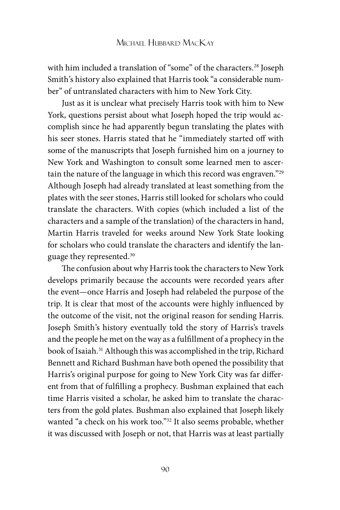with him included a translation of "some" of the characters.<sup>28</sup> Joseph Smith's history also explained that Harris took "a considerable number" of untranslated characters with him to New York City.

Just as it is unclear what precisely Harris took with him to New York, questions persist about what Joseph hoped the trip would accomplish since he had apparently begun translating the plates with his seer stones. Harris stated that he "immediately started off with some of the manuscripts that Joseph furnished him on a journey to New York and Washington to consult some learned men to ascertain the nature of the language in which this record was engraven."29 Although Joseph had already translated at least something from the plates with the seer stones, Harris still looked for scholars who could translate the characters. With copies (which included a list of the characters and a sample of the translation) of the characters in hand, Martin Harris traveled for weeks around New York State looking for scholars who could translate the characters and identify the language they represented.30

The confusion about why Harris took the characters to New York develops primarily because the accounts were recorded years after the event—once Harris and Joseph had relabeled the purpose of the trip. It is clear that most of the accounts were highly influenced by the outcome of the visit, not the original reason for sending Harris. Joseph Smith's history eventually told the story of Harris's travels and the people he met on the way as a fulfillment of a prophecy in the book of Isaiah.<sup>31</sup> Although this was accomplished in the trip, Richard Bennett and Richard Bushman have both opened the possibility that Harris's original purpose for going to New York City was far different from that of fulfilling a prophecy. Bushman explained that each time Harris visited a scholar, he asked him to translate the characters from the gold plates. Bushman also explained that Joseph likely wanted "a check on his work too."<sup>32</sup> It also seems probable, whether it was discussed with Joseph or not, that Harris was at least partially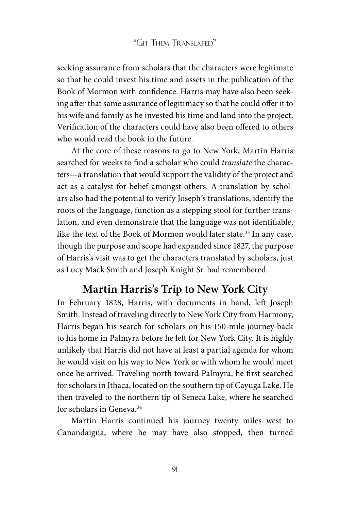seeking assurance from scholars that the characters were legitimate so that he could invest his time and assets in the publication of the Book of Mormon with confidence. Harris may have also been seeking after that same assurance of legitimacy so that he could offer it to his wife and family as he invested his time and land into the project. Verification of the characters could have also been offered to others who would read the book in the future.

At the core of these reasons to go to New York, Martin Harris searched for weeks to find a scholar who could *translate* the characters—a translation that would support the validity of the project and act as a catalyst for belief amongst others. A translation by scholars also had the potential to verify Joseph's translations, identify the roots of the language, function as a stepping stool for further translation, and even demonstrate that the language was not identifiable, like the text of the Book of Mormon would later state.<sup>33</sup> In any case, though the purpose and scope had expanded since 1827, the purpose of Harris's visit was to get the characters translated by scholars, just as Lucy Mack Smith and Joseph Knight Sr. had remembered.

# **Martin Harris's Trip to New York City**

In February 1828, Harris, with documents in hand, left Joseph Smith. Instead of traveling directly to New York City from Harmony, Harris began his search for scholars on his 150-mile journey back to his home in Palmyra before he left for New York City. It is highly unlikely that Harris did not have at least a partial agenda for whom he would visit on his way to New York or with whom he would meet once he arrived. Traveling north toward Palmyra, he first searched for scholars in Ithaca, located on the southern tip of Cayuga Lake. He then traveled to the northern tip of Seneca Lake, where he searched for scholars in Geneva.<sup>34</sup>

Martin Harris continued his journey twenty miles west to Canandaigua, where he may have also stopped, then turned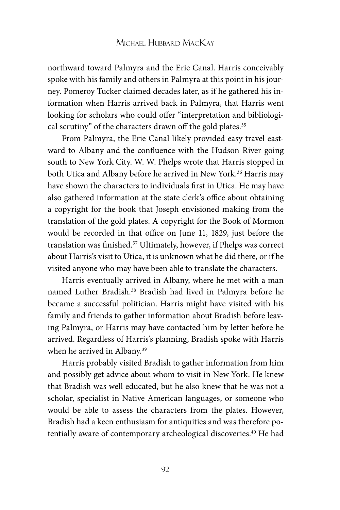northward toward Palmyra and the Erie Canal. Harris conceivably spoke with his family and others in Palmyra at this point in his journey. Pomeroy Tucker claimed decades later, as if he gathered his information when Harris arrived back in Palmyra, that Harris went looking for scholars who could offer "interpretation and bibliological scrutiny" of the characters drawn off the gold plates.<sup>35</sup>

From Palmyra, the Erie Canal likely provided easy travel eastward to Albany and the confluence with the Hudson River going south to New York City. W. W. Phelps wrote that Harris stopped in both Utica and Albany before he arrived in New York.<sup>36</sup> Harris may have shown the characters to individuals first in Utica. He may have also gathered information at the state clerk's office about obtaining a copyright for the book that Joseph envisioned making from the translation of the gold plates. A copyright for the Book of Mormon would be recorded in that office on June 11, 1829, just before the translation was finished.37 Ultimately, however, if Phelps was correct about Harris's visit to Utica, it is unknown what he did there, or if he visited anyone who may have been able to translate the characters.

Harris eventually arrived in Albany, where he met with a man named Luther Bradish.38 Bradish had lived in Palmyra before he became a successful politician. Harris might have visited with his family and friends to gather information about Bradish before leaving Palmyra, or Harris may have contacted him by letter before he arrived. Regardless of Harris's planning, Bradish spoke with Harris when he arrived in Albany.<sup>39</sup>

Harris probably visited Bradish to gather information from him and possibly get advice about whom to visit in New York. He knew that Bradish was well educated, but he also knew that he was not a scholar, specialist in Native American languages, or someone who would be able to assess the characters from the plates. However, Bradish had a keen enthusiasm for antiquities and was therefore potentially aware of contemporary archeological discoveries.<sup>40</sup> He had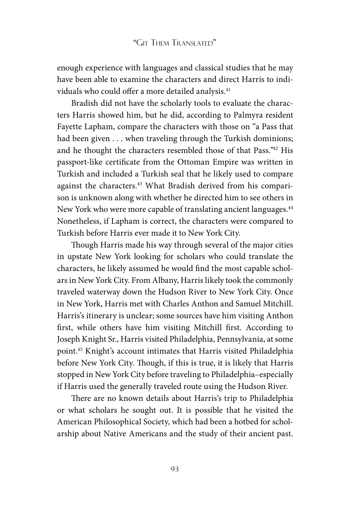enough experience with languages and classical studies that he may have been able to examine the characters and direct Harris to individuals who could offer a more detailed analysis.<sup>41</sup>

Bradish did not have the scholarly tools to evaluate the characters Harris showed him, but he did, according to Palmyra resident Fayette Lapham, compare the characters with those on "a Pass that had been given . . . when traveling through the Turkish dominions; and he thought the characters resembled those of that Pass."42 His passport-like certificate from the Ottoman Empire was written in Turkish and included a Turkish seal that he likely used to compare against the characters.<sup>43</sup> What Bradish derived from his comparison is unknown along with whether he directed him to see others in New York who were more capable of translating ancient languages.<sup>44</sup> Nonetheless, if Lapham is correct, the characters were compared to Turkish before Harris ever made it to New York City.

Though Harris made his way through several of the major cities in upstate New York looking for scholars who could translate the characters, he likely assumed he would find the most capable scholars in New York City. From Albany, Harris likely took the commonly traveled waterway down the Hudson River to New York City. Once in New York, Harris met with Charles Anthon and Samuel Mitchill. Harris's itinerary is unclear; some sources have him visiting Anthon first, while others have him visiting Mitchill first. According to Joseph Knight Sr., Harris visited Philadelphia, Pennsylvania, at some point.45 Knight's account intimates that Harris visited Philadelphia before New York City. Though, if this is true, it is likely that Harris stopped in New York City before traveling to Philadelphia–especially if Harris used the generally traveled route using the Hudson River.

There are no known details about Harris's trip to Philadelphia or what scholars he sought out. It is possible that he visited the American Philosophical Society, which had been a hotbed for scholarship about Native Americans and the study of their ancient past.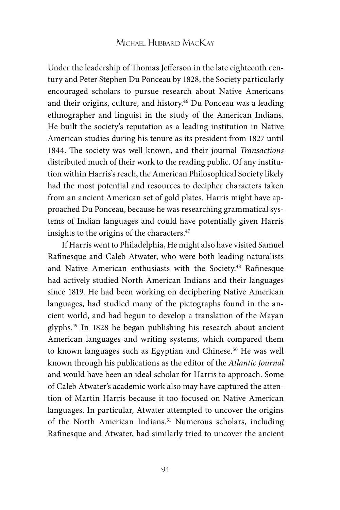Under the leadership of Thomas Jefferson in the late eighteenth century and Peter Stephen Du Ponceau by 1828, the Society particularly encouraged scholars to pursue research about Native Americans and their origins, culture, and history.<sup>46</sup> Du Ponceau was a leading ethnographer and linguist in the study of the American Indians. He built the society's reputation as a leading institution in Native American studies during his tenure as its president from 1827 until 1844. The society was well known, and their journal *Transactions*  distributed much of their work to the reading public. Of any institution within Harris's reach, the American Philosophical Society likely had the most potential and resources to decipher characters taken from an ancient American set of gold plates. Harris might have approached Du Ponceau, because he was researching grammatical systems of Indian languages and could have potentially given Harris insights to the origins of the characters.<sup>47</sup>

If Harris went to Philadelphia, He might also have visited Samuel Rafinesque and Caleb Atwater, who were both leading naturalists and Native American enthusiasts with the Society.48 Rafinesque had actively studied North American Indians and their languages since 1819. He had been working on deciphering Native American languages, had studied many of the pictographs found in the ancient world, and had begun to develop a translation of the Mayan glyphs.49 In 1828 he began publishing his research about ancient American languages and writing systems, which compared them to known languages such as Egyptian and Chinese.<sup>50</sup> He was well known through his publications as the editor of the *Atlantic Journal*  and would have been an ideal scholar for Harris to approach. Some of Caleb Atwater's academic work also may have captured the attention of Martin Harris because it too focused on Native American languages. In particular, Atwater attempted to uncover the origins of the North American Indians.<sup>51</sup> Numerous scholars, including Rafinesque and Atwater, had similarly tried to uncover the ancient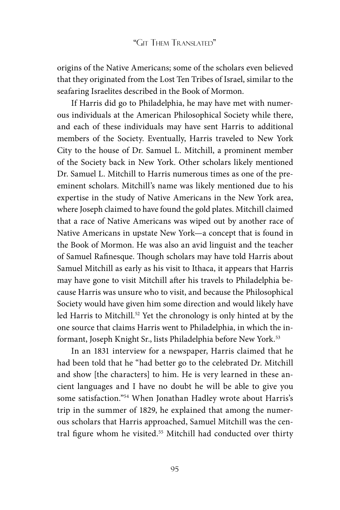origins of the Native Americans; some of the scholars even believed that they originated from the Lost Ten Tribes of Israel, similar to the seafaring Israelites described in the Book of Mormon.

If Harris did go to Philadelphia, he may have met with numerous individuals at the American Philosophical Society while there, and each of these individuals may have sent Harris to additional members of the Society. Eventually, Harris traveled to New York City to the house of Dr. Samuel L. Mitchill, a prominent member of the Society back in New York. Other scholars likely mentioned Dr. Samuel L. Mitchill to Harris numerous times as one of the preeminent scholars. Mitchill's name was likely mentioned due to his expertise in the study of Native Americans in the New York area, where Joseph claimed to have found the gold plates. Mitchill claimed that a race of Native Americans was wiped out by another race of Native Americans in upstate New York—a concept that is found in the Book of Mormon. He was also an avid linguist and the teacher of Samuel Rafinesque. Though scholars may have told Harris about Samuel Mitchill as early as his visit to Ithaca, it appears that Harris may have gone to visit Mitchill after his travels to Philadelphia because Harris was unsure who to visit, and because the Philosophical Society would have given him some direction and would likely have led Harris to Mitchill.<sup>52</sup> Yet the chronology is only hinted at by the one source that claims Harris went to Philadelphia, in which the informant, Joseph Knight Sr., lists Philadelphia before New York.<sup>53</sup>

In an 1831 interview for a newspaper, Harris claimed that he had been told that he "had better go to the celebrated Dr. Mitchill and show [the characters] to him. He is very learned in these ancient languages and I have no doubt he will be able to give you some satisfaction."54 When Jonathan Hadley wrote about Harris's trip in the summer of 1829, he explained that among the numerous scholars that Harris approached, Samuel Mitchill was the central figure whom he visited.<sup>55</sup> Mitchill had conducted over thirty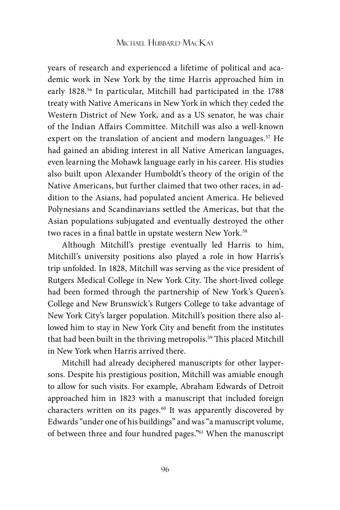years of research and experienced a lifetime of political and academic work in New York by the time Harris approached him in early 1828.56 In particular, Mitchill had participated in the 1788 treaty with Native Americans in New York in which they ceded the Western District of New York, and as a US senator, he was chair of the Indian Affairs Committee. Mitchill was also a well-known expert on the translation of ancient and modern languages.<sup>57</sup> He had gained an abiding interest in all Native American languages, even learning the Mohawk language early in his career. His studies also built upon Alexander Humboldt's theory of the origin of the Native Americans, but further claimed that two other races, in addition to the Asians, had populated ancient America. He believed Polynesians and Scandinavians settled the Americas, but that the Asian populations subjugated and eventually destroyed the other two races in a final battle in upstate western New York.<sup>58</sup>

Although Mitchill's prestige eventually led Harris to him, Mitchill's university positions also played a role in how Harris's trip unfolded. In 1828, Mitchill was serving as the vice president of Rutgers Medical College in New York City. The short-lived college had been formed through the partnership of New York's Queen's College and New Brunswick's Rutgers College to take advantage of New York City's larger population. Mitchill's position there also allowed him to stay in New York City and benefit from the institutes that had been built in the thriving metropolis.<sup>59</sup> This placed Mitchill in New York when Harris arrived there.

Mitchill had already deciphered manuscripts for other laypersons. Despite his prestigious position, Mitchill was amiable enough to allow for such visits. For example, Abraham Edwards of Detroit approached him in 1823 with a manuscript that included foreign characters written on its pages.<sup>60</sup> It was apparently discovered by Edwards "under one of his buildings" and was "a manuscript volume, of between three and four hundred pages."61 When the manuscript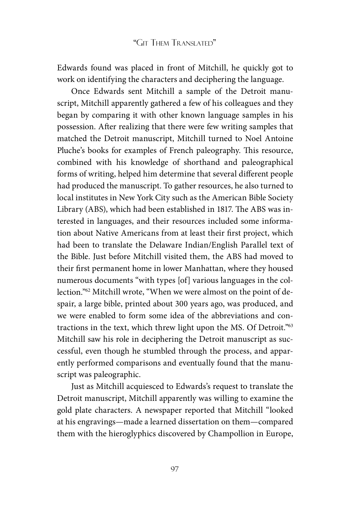Edwards found was placed in front of Mitchill, he quickly got to work on identifying the characters and deciphering the language.

Once Edwards sent Mitchill a sample of the Detroit manuscript, Mitchill apparently gathered a few of his colleagues and they began by comparing it with other known language samples in his possession. After realizing that there were few writing samples that matched the Detroit manuscript, Mitchill turned to Noel Antoine Pluche's books for examples of French paleography. This resource, combined with his knowledge of shorthand and paleographical forms of writing, helped him determine that several different people had produced the manuscript. To gather resources, he also turned to local institutes in New York City such as the American Bible Society Library (ABS), which had been established in 1817. The ABS was interested in languages, and their resources included some information about Native Americans from at least their first project, which had been to translate the Delaware Indian/English Parallel text of the Bible. Just before Mitchill visited them, the ABS had moved to their first permanent home in lower Manhattan, where they housed numerous documents "with types [of] various languages in the collection."62 Mitchill wrote, "When we were almost on the point of despair, a large bible, printed about 300 years ago, was produced, and we were enabled to form some idea of the abbreviations and contractions in the text, which threw light upon the MS. Of Detroit."63 Mitchill saw his role in deciphering the Detroit manuscript as successful, even though he stumbled through the process, and apparently performed comparisons and eventually found that the manuscript was paleographic.

Just as Mitchill acquiesced to Edwards's request to translate the Detroit manuscript, Mitchill apparently was willing to examine the gold plate characters. A newspaper reported that Mitchill "looked at his engravings—made a learned dissertation on them—compared them with the hieroglyphics discovered by Champollion in Europe,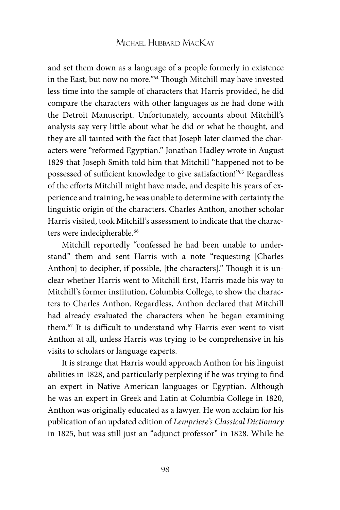and set them down as a language of a people formerly in existence in the East, but now no more."64 Though Mitchill may have invested less time into the sample of characters that Harris provided, he did compare the characters with other languages as he had done with the Detroit Manuscript. Unfortunately, accounts about Mitchill's analysis say very little about what he did or what he thought, and they are all tainted with the fact that Joseph later claimed the characters were "reformed Egyptian." Jonathan Hadley wrote in August 1829 that Joseph Smith told him that Mitchill "happened not to be possessed of sufficient knowledge to give satisfaction!"65 Regardless of the efforts Mitchill might have made, and despite his years of experience and training, he was unable to determine with certainty the linguistic origin of the characters. Charles Anthon, another scholar Harris visited, took Mitchill's assessment to indicate that the characters were indecipherable.<sup>66</sup>

Mitchill reportedly "confessed he had been unable to understand" them and sent Harris with a note "requesting [Charles Anthon] to decipher, if possible, [the characters]." Though it is unclear whether Harris went to Mitchill first, Harris made his way to Mitchill's former institution, Columbia College, to show the characters to Charles Anthon. Regardless, Anthon declared that Mitchill had already evaluated the characters when he began examining them.67 It is difficult to understand why Harris ever went to visit Anthon at all, unless Harris was trying to be comprehensive in his visits to scholars or language experts.

It is strange that Harris would approach Anthon for his linguist abilities in 1828, and particularly perplexing if he was trying to find an expert in Native American languages or Egyptian. Although he was an expert in Greek and Latin at Columbia College in 1820, Anthon was originally educated as a lawyer. He won acclaim for his publication of an updated edition of *Lempriere's Classical Dictionary*  in 1825, but was still just an "adjunct professor" in 1828. While he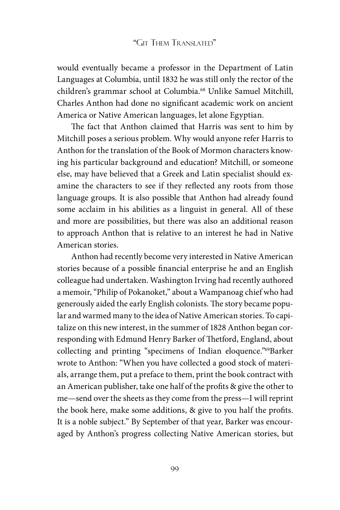would eventually became a professor in the Department of Latin Languages at Columbia, until 1832 he was still only the rector of the children's grammar school at Columbia.68 Unlike Samuel Mitchill, Charles Anthon had done no significant academic work on ancient America or Native American languages, let alone Egyptian.

The fact that Anthon claimed that Harris was sent to him by Mitchill poses a serious problem. Why would anyone refer Harris to Anthon for the translation of the Book of Mormon characters knowing his particular background and education? Mitchill, or someone else, may have believed that a Greek and Latin specialist should examine the characters to see if they reflected any roots from those language groups. It is also possible that Anthon had already found some acclaim in his abilities as a linguist in general. All of these and more are possibilities, but there was also an additional reason to approach Anthon that is relative to an interest he had in Native American stories.

Anthon had recently become very interested in Native American stories because of a possible financial enterprise he and an English colleague had undertaken. Washington Irving had recently authored a memoir, "Philip of Pokanoket," about a Wampanoag chief who had generously aided the early English colonists. The story became popular and warmed many to the idea of Native American stories. To capitalize on this new interest, in the summer of 1828 Anthon began corresponding with Edmund Henry Barker of Thetford, England, about collecting and printing "specimens of Indian eloquence."69Barker wrote to Anthon: "When you have collected a good stock of materials, arrange them, put a preface to them, print the book contract with an American publisher, take one half of the profits & give the other to me—send over the sheets as they come from the press—I will reprint the book here, make some additions, & give to you half the profits. It is a noble subject." By September of that year, Barker was encouraged by Anthon's progress collecting Native American stories, but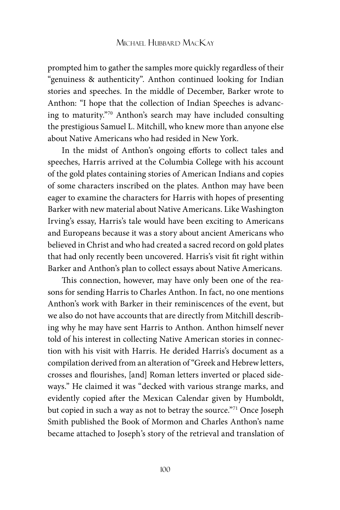prompted him to gather the samples more quickly regardless of their "genuiness & authenticity". Anthon continued looking for Indian stories and speeches. In the middle of December, Barker wrote to Anthon: "I hope that the collection of Indian Speeches is advancing to maturity."70 Anthon's search may have included consulting the prestigious Samuel L. Mitchill, who knew more than anyone else about Native Americans who had resided in New York.

In the midst of Anthon's ongoing efforts to collect tales and speeches, Harris arrived at the Columbia College with his account of the gold plates containing stories of American Indians and copies of some characters inscribed on the plates. Anthon may have been eager to examine the characters for Harris with hopes of presenting Barker with new material about Native Americans. Like Washington Irving's essay, Harris's tale would have been exciting to Americans and Europeans because it was a story about ancient Americans who believed in Christ and who had created a sacred record on gold plates that had only recently been uncovered. Harris's visit fit right within Barker and Anthon's plan to collect essays about Native Americans.

This connection, however, may have only been one of the reasons for sending Harris to Charles Anthon. In fact, no one mentions Anthon's work with Barker in their reminiscences of the event, but we also do not have accounts that are directly from Mitchill describing why he may have sent Harris to Anthon. Anthon himself never told of his interest in collecting Native American stories in connection with his visit with Harris. He derided Harris's document as a compilation derived from an alteration of "Greek and Hebrew letters, crosses and flourishes, [and] Roman letters inverted or placed sideways." He claimed it was "decked with various strange marks, and evidently copied after the Mexican Calendar given by Humboldt, but copied in such a way as not to betray the source."71 Once Joseph Smith published the Book of Mormon and Charles Anthon's name became attached to Joseph's story of the retrieval and translation of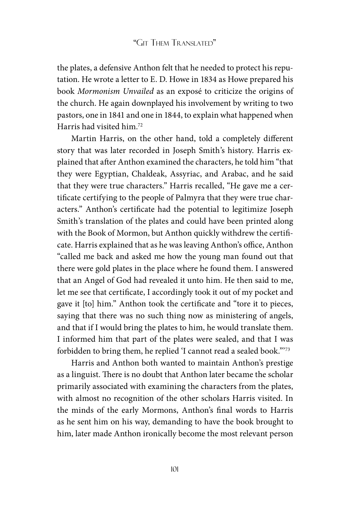the plates, a defensive Anthon felt that he needed to protect his reputation. He wrote a letter to E. D. Howe in 1834 as Howe prepared his book *Mormonism Unvailed* as an exposé to criticize the origins of the church. He again downplayed his involvement by writing to two pastors, one in 1841 and one in 1844, to explain what happened when Harris had visited him<sup>72</sup>

Martin Harris, on the other hand, told a completely different story that was later recorded in Joseph Smith's history. Harris explained that after Anthon examined the characters, he told him "that they were Egyptian, Chaldeak, Assyriac, and Arabac, and he said that they were true characters." Harris recalled, "He gave me a certificate certifying to the people of Palmyra that they were true characters." Anthon's certificate had the potential to legitimize Joseph Smith's translation of the plates and could have been printed along with the Book of Mormon, but Anthon quickly withdrew the certificate. Harris explained that as he was leaving Anthon's office, Anthon "called me back and asked me how the young man found out that there were gold plates in the place where he found them. I answered that an Angel of God had revealed it unto him. He then said to me, let me see that certificate, I accordingly took it out of my pocket and gave it [to] him." Anthon took the certificate and "tore it to pieces, saying that there was no such thing now as ministering of angels, and that if I would bring the plates to him, he would translate them. I informed him that part of the plates were sealed, and that I was forbidden to bring them, he replied 'I cannot read a sealed book."'73

Harris and Anthon both wanted to maintain Anthon's prestige as a linguist. There is no doubt that Anthon later became the scholar primarily associated with examining the characters from the plates, with almost no recognition of the other scholars Harris visited. In the minds of the early Mormons, Anthon's final words to Harris as he sent him on his way, demanding to have the book brought to him, later made Anthon ironically become the most relevant person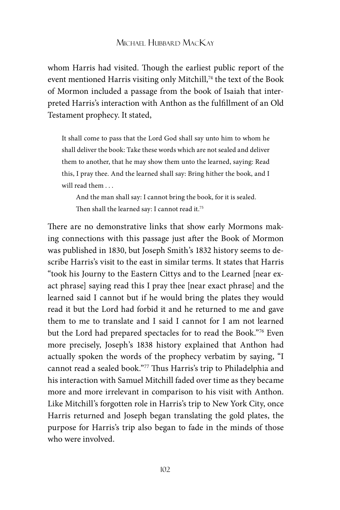whom Harris had visited. Though the earliest public report of the event mentioned Harris visiting only Mitchill,<sup>74</sup> the text of the Book of Mormon included a passage from the book of Isaiah that interpreted Harris's interaction with Anthon as the fulfillment of an Old Testament prophecy. It stated,

It shall come to pass that the Lord God shall say unto him to whom he shall deliver the book: Take these words which are not sealed and deliver them to another, that he may show them unto the learned, saying: Read this, I pray thee. And the learned shall say: Bring hither the book, and I will read them ...

And the man shall say: I cannot bring the book, for it is sealed. Then shall the learned say: I cannot read it.<sup>75</sup>

There are no demonstrative links that show early Mormons making connections with this passage just after the Book of Mormon was published in 1830, but Joseph Smith's 1832 history seems to describe Harris's visit to the east in similar terms. It states that Harris "took his Journy to the Eastern Cittys and to the Learned [near exact phrase] saying read this I pray thee [near exact phrase] and the learned said I cannot but if he would bring the plates they would read it but the Lord had forbid it and he returned to me and gave them to me to translate and I said I cannot for I am not learned but the Lord had prepared spectacles for to read the Book."76 Even more precisely, Joseph's 1838 history explained that Anthon had actually spoken the words of the prophecy verbatim by saying, "I cannot read a sealed book."77 Thus Harris's trip to Philadelphia and his interaction with Samuel Mitchill faded over time as they became more and more irrelevant in comparison to his visit with Anthon. Like Mitchill's forgotten role in Harris's trip to New York City, once Harris returned and Joseph began translating the gold plates, the purpose for Harris's trip also began to fade in the minds of those who were involved.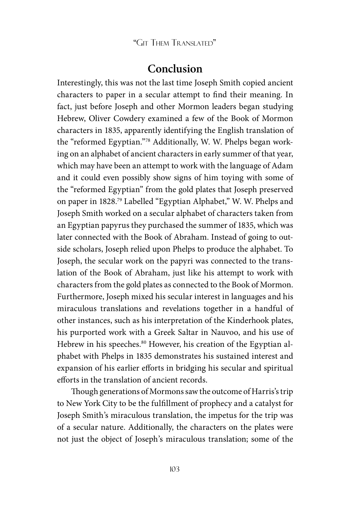# **Conclusion**

Interestingly, this was not the last time Joseph Smith copied ancient characters to paper in a secular attempt to find their meaning. In fact, just before Joseph and other Mormon leaders began studying Hebrew, Oliver Cowdery examined a few of the Book of Mormon characters in 1835, apparently identifying the English translation of the "reformed Egyptian."78 Additionally, W. W. Phelps began working on an alphabet of ancient characters in early summer of that year, which may have been an attempt to work with the language of Adam and it could even possibly show signs of him toying with some of the "reformed Egyptian" from the gold plates that Joseph preserved on paper in 1828.79 Labelled "Egyptian Alphabet," W. W. Phelps and Joseph Smith worked on a secular alphabet of characters taken from an Egyptian papyrus they purchased the summer of 1835, which was later connected with the Book of Abraham. Instead of going to outside scholars, Joseph relied upon Phelps to produce the alphabet. To Joseph, the secular work on the papyri was connected to the translation of the Book of Abraham, just like his attempt to work with characters from the gold plates as connected to the Book of Mormon. Furthermore, Joseph mixed his secular interest in languages and his miraculous translations and revelations together in a handful of other instances, such as his interpretation of the Kinderhook plates, his purported work with a Greek Saltar in Nauvoo, and his use of Hebrew in his speeches.<sup>80</sup> However, his creation of the Egyptian alphabet with Phelps in 1835 demonstrates his sustained interest and expansion of his earlier efforts in bridging his secular and spiritual efforts in the translation of ancient records.

Though generations of Mormons saw the outcome of Harris's trip to New York City to be the fulfillment of prophecy and a catalyst for Joseph Smith's miraculous translation, the impetus for the trip was of a secular nature. Additionally, the characters on the plates were not just the object of Joseph's miraculous translation; some of the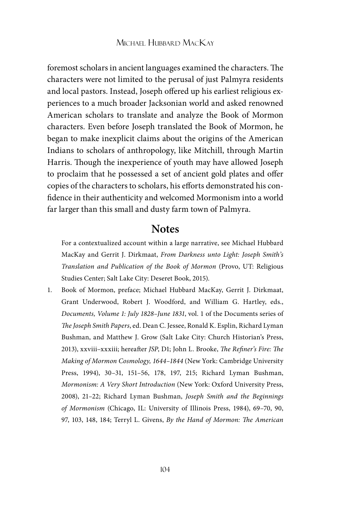foremost scholars in ancient languages examined the characters. The characters were not limited to the perusal of just Palmyra residents and local pastors. Instead, Joseph offered up his earliest religious experiences to a much broader Jacksonian world and asked renowned American scholars to translate and analyze the Book of Mormon characters. Even before Joseph translated the Book of Mormon, he began to make inexplicit claims about the origins of the American Indians to scholars of anthropology, like Mitchill, through Martin Harris. Though the inexperience of youth may have allowed Joseph to proclaim that he possessed a set of ancient gold plates and offer copies of the characters to scholars, his efforts demonstrated his confidence in their authenticity and welcomed Mormonism into a world far larger than this small and dusty farm town of Palmyra.

# **Notes**

For a contextualized account within a large narrative, see Michael Hubbard MacKay and Gerrit J. Dirkmaat, *From Darkness unto Light: Joseph Smith's Translation and Publication of the Book of Mormon* (Provo, UT: Religious Studies Center; Salt Lake City: Deseret Book, 2015).

1. Book of Mormon, preface; Michael Hubbard MacKay, Gerrit J. Dirkmaat, Grant Underwood, Robert J. Woodford, and William G. Hartley, eds., *Documents, Volume 1: July 1828–June 1831*, vol. 1 of the Documents series of *The Joseph Smith Papers*, ed. Dean C. Jessee, Ronald K. Esplin, Richard Lyman Bushman, and Matthew J. Grow (Salt Lake City: Church Historian's Press, 2013), xxviii–xxxiii; hereafter *JSP*, D1; John L. Brooke, *The Refiner's Fire: The Making of Mormon Cosmology, 1644–1844* (New York: Cambridge University Press, 1994), 30–31, 151–56, 178, 197, 215; Richard Lyman Bushman, *Mormonism: A Very Short Introduction* (New York: Oxford University Press, 2008), 21–22; Richard Lyman Bushman, *Joseph Smith and the Beginnings of Mormonism* (Chicago, IL: University of Illinois Press, 1984), 69–70, 90, 97, 103, 148, 184; Terryl L. Givens, *By the Hand of Mormon: The American*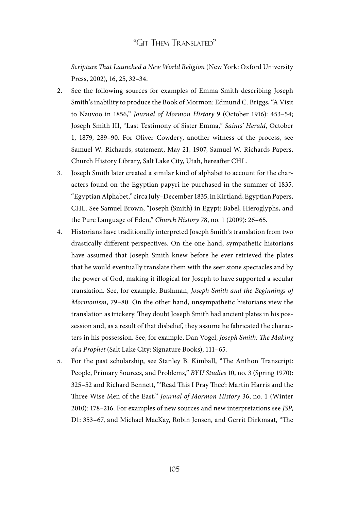*Scripture That Launched a New World Religion* (New York: Oxford University Press, 2002), 16, 25, 32–34.

- 2. See the following sources for examples of Emma Smith describing Joseph Smith's inability to produce the Book of Mormon: Edmund C. Briggs, "A Visit to Nauvoo in 1856," *Journal of Mormon History* 9 (October 1916): 453–54; Joseph Smith III, "Last Testimony of Sister Emma," *Saints' Herald*, October 1, 1879, 289–90. For Oliver Cowdery, another witness of the process, see Samuel W. Richards, statement, May 21, 1907, Samuel W. Richards Papers, Church History Library, Salt Lake City, Utah, hereafter CHL.
- 3. Joseph Smith later created a similar kind of alphabet to account for the characters found on the Egyptian papyri he purchased in the summer of 1835. "Egyptian Alphabet," circa July–December 1835, in Kirtland, Egyptian Papers, CHL. See Samuel Brown, "Joseph (Smith) in Egypt: Babel, Hieroglyphs, and the Pure Language of Eden," *Church History* 78, no. 1 (2009): 26–65.
- 4. Historians have traditionally interpreted Joseph Smith's translation from two drastically different perspectives. On the one hand, sympathetic historians have assumed that Joseph Smith knew before he ever retrieved the plates that he would eventually translate them with the seer stone spectacles and by the power of God, making it illogical for Joseph to have supported a secular translation. See, for example, Bushman, *Joseph Smith and the Beginnings of Mormonism*, 79–80. On the other hand, unsympathetic historians view the translation as trickery. They doubt Joseph Smith had ancient plates in his possession and, as a result of that disbelief, they assume he fabricated the characters in his possession. See, for example, Dan Vogel, *Joseph Smith: The Making of a Prophet* (Salt Lake City: Signature Books), 111–65.
- 5. For the past scholarship, see Stanley B. Kimball, "The Anthon Transcript: People, Primary Sources, and Problems," *BYU Studies* 10, no. 3 (Spring 1970): 325–52 and Richard Bennett, "'Read This I Pray Thee': Martin Harris and the Three Wise Men of the East," *Journal of Mormon History* 36, no. 1 (Winter 2010): 178–216. For examples of new sources and new interpretations see *JSP*, D1: 353–67, and Michael MacKay, Robin Jensen, and Gerrit Dirkmaat, "The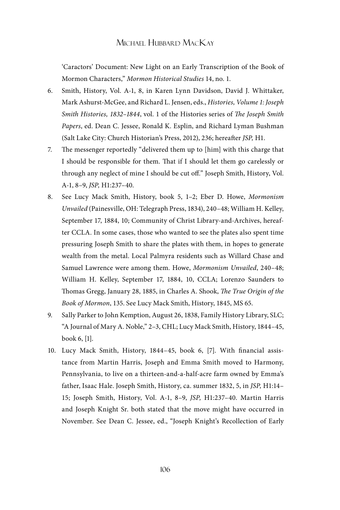'Caractors' Document: New Light on an Early Transcription of the Book of Mormon Characters," *Mormon Historical Studies* 14, no. 1.

- 6. Smith, History, Vol. A-1, 8, in Karen Lynn Davidson, David J. Whittaker, Mark Ashurst-McGee, and Richard L. Jensen, eds., *Histories, Volume 1: Joseph Smith Histories, 1832–1844*, vol. 1 of the Histories series of *The Joseph Smith Papers*, ed. Dean C. Jessee, Ronald K. Esplin, and Richard Lyman Bushman (Salt Lake City: Church Historian's Press, 2012), 236; hereafter *JSP,* H1.
- 7. The messenger reportedly "delivered them up to [him] with this charge that I should be responsible for them. That if I should let them go carelessly or through any neglect of mine I should be cut off." Joseph Smith, History, Vol. A-1, 8–9, *JSP,* H1:237–40.
- 8. See Lucy Mack Smith, History, book 5, 1–2; Eber D. Howe, *Mormonism Unvailed* (Painesville, OH: Telegraph Press, 1834), 240–48; William H. Kelley, September 17, 1884, 10; Community of Christ Library-and-Archives, hereafter CCLA. In some cases, those who wanted to see the plates also spent time pressuring Joseph Smith to share the plates with them, in hopes to generate wealth from the metal. Local Palmyra residents such as Willard Chase and Samuel Lawrence were among them. Howe, *Mormonism Unvailed*, 240–48; William H. Kelley, September 17, 1884, 10, CCLA; Lorenzo Saunders to Thomas Gregg, January 28, 1885, in Charles A. Shook, *The True Origin of the Book of Mormon*, 135. See Lucy Mack Smith, History, 1845, MS 65.
- 9. Sally Parker to John Kemption, August 26, 1838, Family History Library, SLC; "A Journal of Mary A. Noble," 2–3, CHL; Lucy Mack Smith, History, 1844–45, book 6, [1].
- 10. Lucy Mack Smith, History, 1844–45, book 6, [7]. With financial assistance from Martin Harris, Joseph and Emma Smith moved to Harmony, Pennsylvania, to live on a thirteen-and-a-half-acre farm owned by Emma's father, Isaac Hale. Joseph Smith, History, ca. summer 1832, 5, in *JSP,* H1:14– 15; Joseph Smith, History, Vol. A-1, 8–9, *JSP,* H1:237–40. Martin Harris and Joseph Knight Sr. both stated that the move might have occurred in November. See Dean C. Jessee, ed., "Joseph Knight's Recollection of Early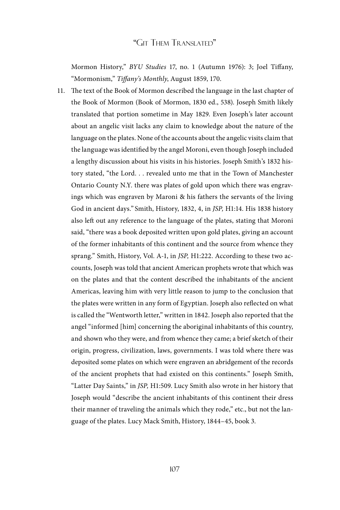Mormon History," *BYU Studies* 17, no. 1 (Autumn 1976): 3; Joel Tiffany, "Mormonism," *Tiffany's Monthly*, August 1859, 170.

11. The text of the Book of Mormon described the language in the last chapter of the Book of Mormon (Book of Mormon, 1830 ed., 538). Joseph Smith likely translated that portion sometime in May 1829. Even Joseph's later account about an angelic visit lacks any claim to knowledge about the nature of the language on the plates. None of the accounts about the angelic visits claim that the language was identified by the angel Moroni, even though Joseph included a lengthy discussion about his visits in his histories. Joseph Smith's 1832 history stated, "the Lord. . . revealed unto me that in the Town of Manchester Ontario County N.Y. there was plates of gold upon which there was engravings which was engraven by Maroni & his fathers the servants of the living God in ancient days." Smith, History, 1832, 4, in *JSP,* H1:14. His 1838 history also left out any reference to the language of the plates, stating that Moroni said, "there was a book deposited written upon gold plates, giving an account of the former inhabitants of this continent and the source from whence they sprang." Smith, History, Vol. A-1, in *JSP,* H1:222. According to these two accounts, Joseph was told that ancient American prophets wrote that which was on the plates and that the content described the inhabitants of the ancient Americas, leaving him with very little reason to jump to the conclusion that the plates were written in any form of Egyptian. Joseph also reflected on what is called the "Wentworth letter," written in 1842. Joseph also reported that the angel "informed [him] concerning the aboriginal inhabitants of this country, and shown who they were, and from whence they came; a brief sketch of their origin, progress, civilization, laws, governments. I was told where there was deposited some plates on which were engraven an abridgement of the records of the ancient prophets that had existed on this continents." Joseph Smith, "Latter Day Saints," in *JSP,* H1:509. Lucy Smith also wrote in her history that Joseph would "describe the ancient inhabitants of this continent their dress their manner of traveling the animals which they rode," etc., but not the language of the plates. Lucy Mack Smith, History, 1844–45, book 3.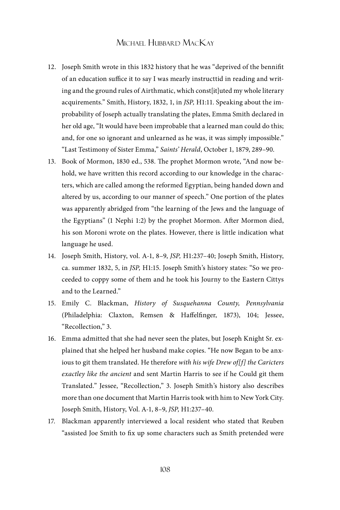- 12. Joseph Smith wrote in this 1832 history that he was "deprived of the bennifit of an education suffice it to say I was mearly instructtid in reading and writing and the ground rules of Airthmatic, which const[it]uted my whole literary acquirements." Smith, History, 1832, 1, in *JSP,* H1:11. Speaking about the improbability of Joseph actually translating the plates, Emma Smith declared in her old age, "It would have been improbable that a learned man could do this; and, for one so ignorant and unlearned as he was, it was simply impossible." "Last Testimony of Sister Emma," *Saints' Herald*, October 1, 1879, 289–90.
- 13. Book of Mormon, 1830 ed., 538. The prophet Mormon wrote, "And now behold, we have written this record according to our knowledge in the characters, which are called among the reformed Egyptian, being handed down and altered by us, according to our manner of speech." One portion of the plates was apparently abridged from "the learning of the Jews and the language of the Egyptians" (1 Nephi 1:2) by the prophet Mormon. After Mormon died, his son Moroni wrote on the plates. However, there is little indication what language he used.
- 14. Joseph Smith, History, vol. A-1, 8–9, *JSP,* H1:237–40; Joseph Smith, History, ca. summer 1832, 5, in *JSP,* H1:15. Joseph Smith's history states: "So we proceeded to coppy some of them and he took his Journy to the Eastern Cittys and to the Learned."
- 15. Emily C. Blackman, *History of Susquehanna County, Pennsylvania* (Philadelphia: Claxton, Remsen & Haffelfinger, 1873), 104; Jessee, "Recollection," 3.
- 16. Emma admitted that she had never seen the plates, but Joseph Knight Sr. explained that she helped her husband make copies. "He now Began to be anxious to git them translated. He therefore *with his wife Drew of[f] the Caricters exactley like the ancient* and sent Martin Harris to see if he Could git them Translated." Jessee, "Recollection," 3. Joseph Smith's history also describes more than one document that Martin Harris took with him to New York City. Joseph Smith, History, Vol. A-1, 8–9, *JSP,* H1:237–40.
- 17. Blackman apparently interviewed a local resident who stated that Reuben "assisted Joe Smith to fix up some characters such as Smith pretended were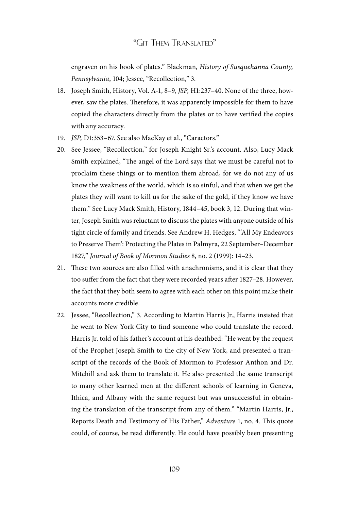engraven on his book of plates." Blackman, *History of Susquehanna County, Pennsylvania*, 104; Jessee, "Recollection," 3.

- 18. Joseph Smith, History, Vol. A-1, 8–9, *JSP,* H1:237–40. None of the three, however, saw the plates. Therefore, it was apparently impossible for them to have copied the characters directly from the plates or to have verified the copies with any accuracy.
- 19. *JSP,* D1:353–67. See also MacKay et al., "Caractors."
- 20. See Jessee, "Recollection," for Joseph Knight Sr.'s account. Also, Lucy Mack Smith explained, "The angel of the Lord says that we must be careful not to proclaim these things or to mention them abroad, for we do not any of us know the weakness of the world, which is so sinful, and that when we get the plates they will want to kill us for the sake of the gold, if they know we have them." See Lucy Mack Smith, History, 1844–45, book 3, 12. During that winter, Joseph Smith was reluctant to discuss the plates with anyone outside of his tight circle of family and friends. See Andrew H. Hedges, "'All My Endeavors to Preserve Them': Protecting the Plates in Palmyra, 22 September–December 1827," *Journal of Book of Mormon Studies* 8, no. 2 (1999): 14–23.
- 21. These two sources are also filled with anachronisms, and it is clear that they too suffer from the fact that they were recorded years after 1827–28. However, the fact that they both seem to agree with each other on this point make their accounts more credible.
- 22. Jessee, "Recollection," 3. According to Martin Harris Jr., Harris insisted that he went to New York City to find someone who could translate the record. Harris Jr. told of his father's account at his deathbed: "He went by the request of the Prophet Joseph Smith to the city of New York, and presented a transcript of the records of the Book of Mormon to Professor Anthon and Dr. Mitchill and ask them to translate it. He also presented the same transcript to many other learned men at the different schools of learning in Geneva, Ithica, and Albany with the same request but was unsuccessful in obtaining the translation of the transcript from any of them." "Martin Harris, Jr., Reports Death and Testimony of His Father," *Adventure* 1, no. 4. This quote could, of course, be read differently. He could have possibly been presenting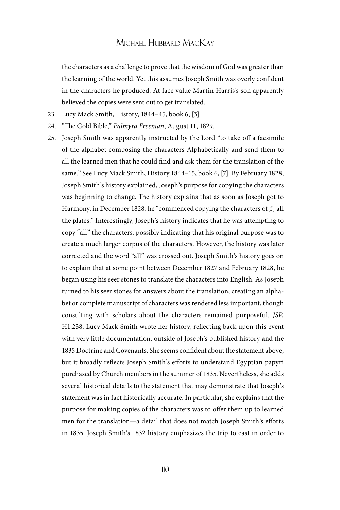the characters as a challenge to prove that the wisdom of God was greater than the learning of the world. Yet this assumes Joseph Smith was overly confident in the characters he produced. At face value Martin Harris's son apparently believed the copies were sent out to get translated.

- 23. Lucy Mack Smith, History, 1844–45, book 6, [3].
- 24. "The Gold Bible," *Palmyra Freeman*, August 11, 1829.
- 25. Joseph Smith was apparently instructed by the Lord "to take off a facsimile of the alphabet composing the characters Alphabetically and send them to all the learned men that he could find and ask them for the translation of the same." See Lucy Mack Smith, History 1844–15, book 6, [7]. By February 1828, Joseph Smith's history explained, Joseph's purpose for copying the characters was beginning to change. The history explains that as soon as Joseph got to Harmony, in December 1828, he "commenced copying the characters of[f] all the plates." Interestingly, Joseph's history indicates that he was attempting to copy "all" the characters, possibly indicating that his original purpose was to create a much larger corpus of the characters. However, the history was later corrected and the word "all" was crossed out. Joseph Smith's history goes on to explain that at some point between December 1827 and February 1828, he began using his seer stones to translate the characters into English. As Joseph turned to his seer stones for answers about the translation, creating an alphabet or complete manuscript of characters was rendered less important, though consulting with scholars about the characters remained purposeful. *JSP,*  H1:238. Lucy Mack Smith wrote her history, reflecting back upon this event with very little documentation, outside of Joseph's published history and the 1835 Doctrine and Covenants. She seems confident about the statement above, but it broadly reflects Joseph Smith's efforts to understand Egyptian papyri purchased by Church members in the summer of 1835. Nevertheless, she adds several historical details to the statement that may demonstrate that Joseph's statement was in fact historically accurate. In particular, she explains that the purpose for making copies of the characters was to offer them up to learned men for the translation—a detail that does not match Joseph Smith's efforts in 1835. Joseph Smith's 1832 history emphasizes the trip to east in order to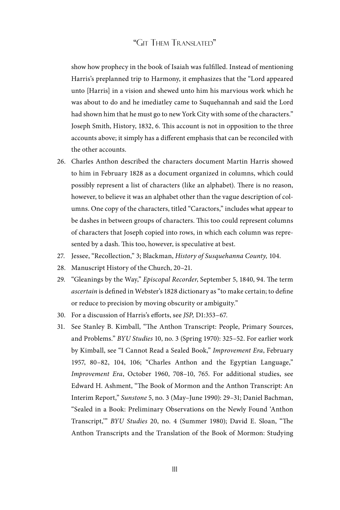show how prophecy in the book of Isaiah was fulfilled. Instead of mentioning Harris's preplanned trip to Harmony, it emphasizes that the "Lord appeared unto [Harris] in a vision and shewed unto him his marvious work which he was about to do and he imediatley came to Suquehannah and said the Lord had shown him that he must go to new York City with some of the characters." Joseph Smith, History, 1832, 6. This account is not in opposition to the three accounts above; it simply has a different emphasis that can be reconciled with the other accounts.

- 26. Charles Anthon described the characters document Martin Harris showed to him in February 1828 as a document organized in columns, which could possibly represent a list of characters (like an alphabet). There is no reason, however, to believe it was an alphabet other than the vague description of columns. One copy of the characters, titled "Caractors," includes what appear to be dashes in between groups of characters. This too could represent columns of characters that Joseph copied into rows, in which each column was represented by a dash. This too, however, is speculative at best.
- 27. Jessee, "Recollection," 3; Blackman, *History of Susquehanna County,* 104.
- 28. Manuscript History of the Church, 20–21.
- 29. "Gleanings by the Way," *Episcopal Recorder*, September 5, 1840, 94. The term *ascertain* is defined in Webster's 1828 dictionary as "to make certain; to define or reduce to precision by moving obscurity or ambiguity."
- 30. For a discussion of Harris's efforts, see *JSP,* D1:353–67.
- 31. See Stanley B. Kimball, "The Anthon Transcript: People, Primary Sources, and Problems." *BYU Studies* 10, no. 3 (Spring 1970): 325–52. For earlier work by Kimball, see "I Cannot Read a Sealed Book," *Improvement Era*, February 1957, 80–82, 104, 106; "Charles Anthon and the Egyptian Language," *Improvement Era*, October 1960, 708–10, 765. For additional studies, see Edward H. Ashment, "The Book of Mormon and the Anthon Transcript: An Interim Report," *Sunstone* 5, no. 3 (May–June 1990): 29–31; Daniel Bachman, "Sealed in a Book: Preliminary Observations on the Newly Found 'Anthon Transcript,'" *BYU Studies* 20, no. 4 (Summer 1980); David E. Sloan, "The Anthon Transcripts and the Translation of the Book of Mormon: Studying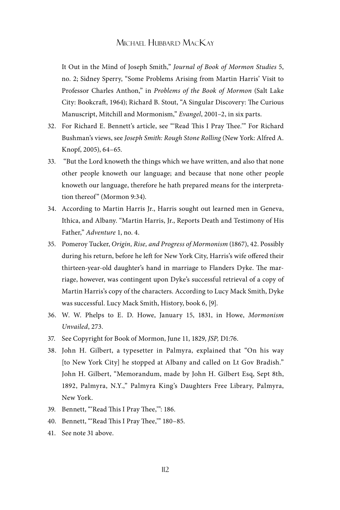It Out in the Mind of Joseph Smith," *Journal of Book of Mormon Studies* 5, no. 2; Sidney Sperry, "Some Problems Arising from Martin Harris' Visit to Professor Charles Anthon," in *Problems of the Book of Mormon* (Salt Lake City: Bookcraft, 1964); Richard B. Stout, "A Singular Discovery: The Curious Manuscript, Mitchill and Mormonism," *Evangel*, 2001–2, in six parts.

- 32. For Richard E. Bennett's article, see "'Read This I Pray Thee.'" For Richard Bushman's views, see *Joseph Smith: Rough Stone Rolling* (New York: Alfred A. Knopf, 2005), 64–65.
- 33. "But the Lord knoweth the things which we have written, and also that none other people knoweth our language; and because that none other people knoweth our language, therefore he hath prepared means for the interpretation thereof" (Mormon 9:34).
- 34. According to Martin Harris Jr., Harris sought out learned men in Geneva, Ithica, and Albany. "Martin Harris, Jr., Reports Death and Testimony of His Father," *Adventure* 1, no. 4.
- 35. Pomeroy Tucker, *Origin, Rise, and Progress of Mormonism* (1867), 42. Possibly during his return, before he left for New York City, Harris's wife offered their thirteen-year-old daughter's hand in marriage to Flanders Dyke. The marriage, however, was contingent upon Dyke's successful retrieval of a copy of Martin Harris's copy of the characters. According to Lucy Mack Smith, Dyke was successful. Lucy Mack Smith, History, book 6, [9].
- 36. W. W. Phelps to E. D. Howe, January 15, 1831, in Howe, *Mormonism Unvailed*, 273.
- 37. See Copyright for Book of Mormon, June 11, 1829, *JSP,* D1:76.
- 38. John H. Gilbert, a typesetter in Palmyra, explained that "On his way [to New York City] he stopped at Albany and called on Lt Gov Bradish." John H. Gilbert, "Memorandum, made by John H. Gilbert Esq, Sept 8th, 1892, Palmyra, N.Y.," Palmyra King's Daughters Free Library, Palmyra, New York.
- 39. Bennett, "'Read This I Pray Thee,'": 186.
- 40. Bennett, "'Read This I Pray Thee,'" 180–85.
- 41. See note 31 above.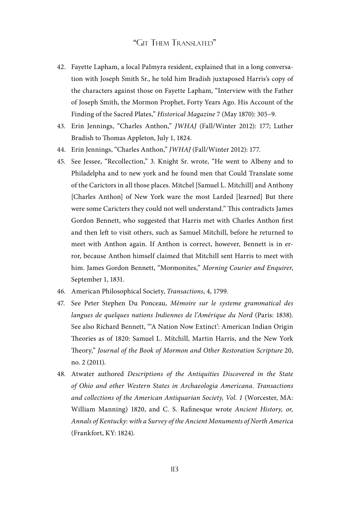- 42. Fayette Lapham, a local Palmyra resident, explained that in a long conversation with Joseph Smith Sr., he told him Bradish juxtaposed Harris's copy of the characters against those on Fayette Lapham, "Interview with the Father of Joseph Smith, the Mormon Prophet, Forty Years Ago. His Account of the Finding of the Sacred Plates," *Historical Magazine* 7 (May 1870): 305–9.
- 43. Erin Jennings, "Charles Anthon," *JWHAJ* (Fall/Winter 2012): 177; Luther Bradish to Thomas Appleton, July 1, 1824.
- 44. Erin Jennings, "Charles Anthon," *JWHAJ* (Fall/Winter 2012): 177.
- 45. See Jessee, "Recollection," 3. Knight Sr. wrote, "He went to Albeny and to Philadelpha and to new york and he found men that Could Translate some of the Carictors in all those places. Mitchel [Samuel L. Mitchill] and Anthony [Charles Anthon] of New York ware the most Larded [learned] But there were some Caricters they could not well understand." This contradicts James Gordon Bennett, who suggested that Harris met with Charles Anthon first and then left to visit others, such as Samuel Mitchill, before he returned to meet with Anthon again. If Anthon is correct, however, Bennett is in error, because Anthon himself claimed that Mitchill sent Harris to meet with him. James Gordon Bennett, "Mormonites," *Morning Courier and Enquirer*, September 1, 1831.
- 46. American Philosophical Society, *Transactions*, 4, 1799.
- 47. See Peter Stephen Du Ponceau, *Mémoire sur le systeme grammatical des langues de quelques nations Indiennes de l'Amérique du Nord* (Paris: 1838). See also Richard Bennett, "'A Nation Now Extinct': American Indian Origin Theories as of 1820: Samuel L. Mitchill, Martin Harris, and the New York Theory," *Journal of the Book of Mormon and Other Restoration Scripture* 20, no. 2 (2011).
- 48. Atwater authored *Descriptions of the Antiquities Discovered in the State of Ohio and other Western States in Archaeologia Americana. Transactions*  and collections of the American Antiquarian Society, Vol. 1 (Worcester, MA: William Manning) 1820, and C. S. Rafinesque wrote *Ancient History, or, Annals of Kentucky: with a Survey of the Ancient Monuments of North America*  (Frankfort, KY: 1824).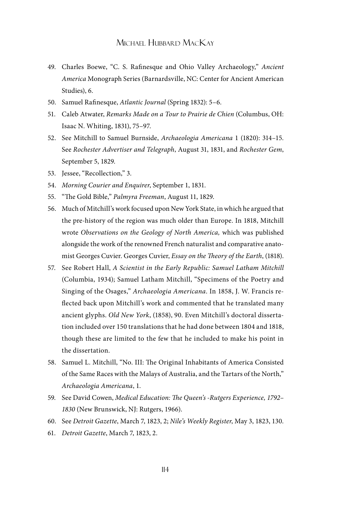- 49. Charles Boewe, "C. S. Rafinesque and Ohio Valley Archaeology," *Ancient America* Monograph Series (Barnardsville, NC: Center for Ancient American Studies), 6.
- 50. Samuel Rafinesque, *Atlantic Journal* (Spring 1832): 5–6.
- 51. Caleb Atwater, *Remarks Made on a Tour to Prairie de Chien* (Columbus, OH: Isaac N. Whiting, 1831), 75–97.
- 52. See Mitchill to Samuel Burnside, *Archaeologia Americana* 1 (1820): 314–15. See *Rochester Advertiser and Telegraph*, August 31, 1831, and *Rochester Gem*, September 5, 1829.
- 53. Jessee, "Recollection," 3.
- 54. *Morning Courier and Enquirer*, September 1, 1831.
- 55. "The Gold Bible," *Palmyra Freeman*, August 11, 1829.
- 56. Much of Mitchill's work focused upon New York State, in which he argued that the pre-history of the region was much older than Europe. In 1818, Mitchill wrote *Observations on the Geology of North America,* which was published alongside the work of the renowned French naturalist and comparative anatomist Georges Cuvier. Georges Cuvier, *Essay on the Theory of the Earth*, (1818).
- 57. See Robert Hall, *A Scientist in the Early Republic: Samuel Latham Mitchill*  (Columbia, 1934); Samuel Latham Mitchill, "Specimens of the Poetry and Singing of the Osages," *Archaeologia Americana*. In 1858, J. W. Francis reflected back upon Mitchill's work and commented that he translated many ancient glyphs. *Old New York*, (1858), 90. Even Mitchill's doctoral dissertation included over 150 translations that he had done between 1804 and 1818, though these are limited to the few that he included to make his point in the dissertation.
- 58. Samuel L. Mitchill, "No. III: The Original Inhabitants of America Consisted of the Same Races with the Malays of Australia, and the Tartars of the North," *Archaeologia Americana*, 1.
- 59. See David Cowen, *Medical Education: The Queen's -Rutgers Experience, 1792– 1830* (New Brunswick, NJ: Rutgers, 1966).
- 60. See *Detroit Gazette*, March 7, 1823, 2; *Nile's Weekly Register*, May 3, 1823, 130.
- 61. *Detroit Gazette*, March 7, 1823, 2.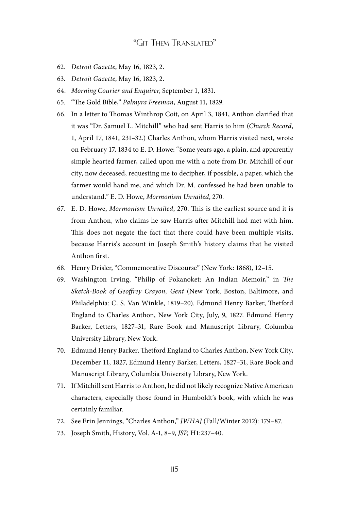- 62. *Detroit Gazette*, May 16, 1823, 2.
- 63. *Detroit Gazette*, May 16, 1823, 2.
- 64. *Morning Courier and Enquirer*, September 1, 1831.
- 65. "The Gold Bible," *Palmyra Freeman*, August 11, 1829.
- 66. In a letter to Thomas Winthrop Coit, on April 3, 1841, Anthon clarified that it was "Dr. Samuel L. Mitchill" who had sent Harris to him (*Church Record*, 1, April 17, 1841, 231–32.) Charles Anthon, whom Harris visited next, wrote on February 17, 1834 to E. D. Howe: "Some years ago, a plain, and apparently simple hearted farmer, called upon me with a note from Dr. Mitchill of our city, now deceased, requesting me to decipher, if possible, a paper, which the farmer would hand me, and which Dr. M. confessed he had been unable to understand." E. D. Howe, *Mormonism Unvailed*, 270.
- 67. E. D. Howe, *Mormonism Unvailed*, 270. This is the earliest source and it is from Anthon, who claims he saw Harris after Mitchill had met with him. This does not negate the fact that there could have been multiple visits, because Harris's account in Joseph Smith's history claims that he visited Anthon first.
- 68. Henry Drisler, "Commemorative Discourse" (New York: 1868), 12–15.
- 69. Washington Irving, "Philip of Pokanoket: An Indian Memoir," in *The Sketch-Book of Geoffrey Crayon, Gent* (New York, Boston, Baltimore, and Philadelphia: C. S. Van Winkle, 1819–20). Edmund Henry Barker, Thetford England to Charles Anthon, New York City, July, 9, 1827. Edmund Henry Barker, Letters, 1827–31, Rare Book and Manuscript Library, Columbia University Library, New York.
- 70. Edmund Henry Barker, Thetford England to Charles Anthon, New York City, December 11, 1827, Edmund Henry Barker, Letters, 1827–31, Rare Book and Manuscript Library, Columbia University Library, New York.
- 71. If Mitchill sent Harris to Anthon, he did not likely recognize Native American characters, especially those found in Humboldt's book, with which he was certainly familiar.
- 72. See Erin Jennings, "Charles Anthon," *JWHAJ* (Fall/Winter 2012): 179–87.
- 73. Joseph Smith, History, Vol. A-1, 8–9, *JSP,* H1:237–40.